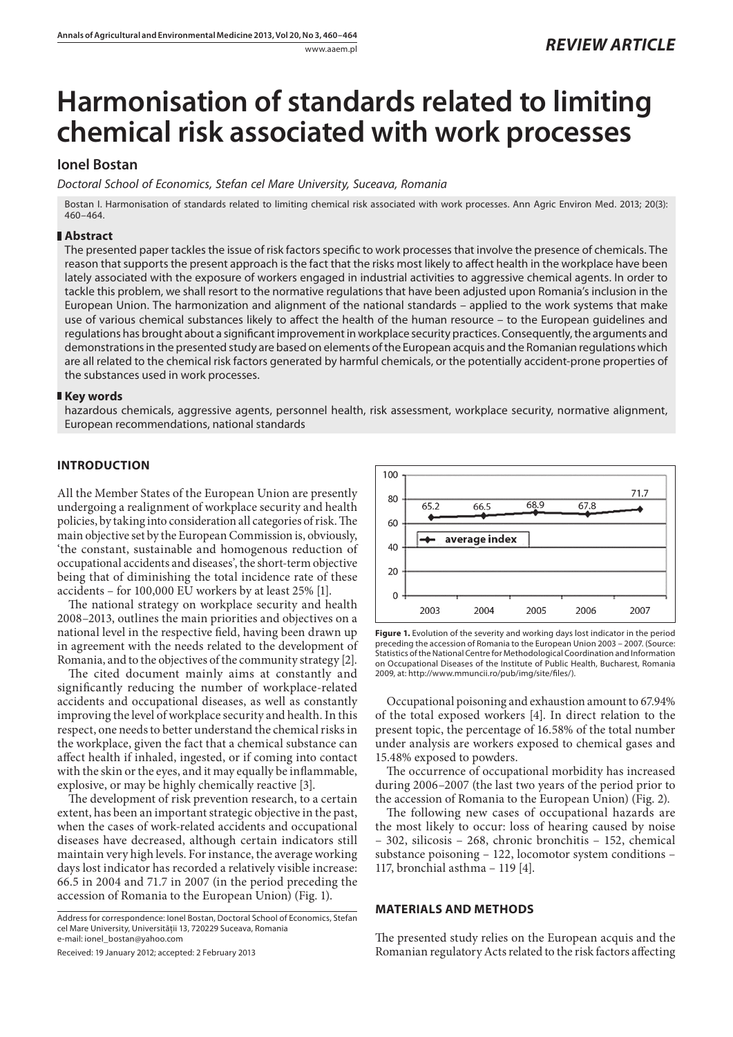www.aaem.pl *REVIEW ARTICLE* 

# **Harmonisation of standards related to limiting chemical risk associated with work processes**

# **Ionel Bostan**

*Doctoral School of Economics, Stefan cel Mare University, Suceava, Romania*

Bostan I. Harmonisation of standards related to limiting chemical risk associated with work processes. Ann Agric Environ Med. 2013; 20(3): 460–464.

## **Abstract**

The presented paper tackles the issue of risk factors specific to work processes that involve the presence of chemicals. The reason that supports the present approach is the fact that the risks most likely to affect health in the workplace have been lately associated with the exposure of workers engaged in industrial activities to aggressive chemical agents. In order to tackle this problem, we shall resort to the normative regulations that have been adjusted upon Romania's inclusion in the European Union. The harmonization and alignment of the national standards – applied to the work systems that make use of various chemical substances likely to affect the health of the human resource – to the European guidelines and regulations has brought about a significant improvement in workplace security practices. Consequently, the arguments and demonstrations in the presented study are based on elements of the European acquis and the Romanian regulations which are all related to the chemical risk factors generated by harmful chemicals, or the potentially accident-prone properties of the substances used in work processes.

## **Key words**

hazardous chemicals, aggressive agents, personnel health, risk assessment, workplace security, normative alignment, European recommendations, national standards

# **INTRODUCTION**

All the Member States of the European Union are presently undergoing a realignment of workplace security and health policies, by taking into consideration all categories of risk. The main objective set by the European Commission is, obviously, 'the constant, sustainable and homogenous reduction of occupational accidents and diseases', the short-term objective being that of diminishing the total incidence rate of these accidents – for 100,000 EU workers by at least 25% [1].

The national strategy on workplace security and health 2008–2013, outlines the main priorities and objectives on a national level in the respective field, having been drawn up in agreement with the needs related to the development of Romania, and to the objectives of the community strategy [2].

The cited document mainly aims at constantly and significantly reducing the number of workplace-related accidents and occupational diseases, as well as constantly improving the level of workplace security and health. In this respect, one needs to better understand the chemical risks in the workplace, given the fact that a chemical substance can affect health if inhaled, ingested, or if coming into contact with the skin or the eyes, and it may equally be inflammable, explosive, or may be highly chemically reactive [3].

The development of risk prevention research, to a certain extent, has been an important strategic objective in the past, when the cases of work-related accidents and occupational diseases have decreased, although certain indicators still maintain very high levels. For instance, the average working days lost indicator has recorded a relatively visible increase: 66.5 in 2004 and 71.7 in 2007 (in the period preceding the accession of Romania to the European Union) (Fig. 1).

Address for correspondence: Ionel Bostan, Doctoral School of Economics, Stefan cel Mare University, Universității 13, 720229 Suceava, Romania e-mail: ionel\_bostan@yahoo.com

Received: 19 January 2012; accepted: 2 February 2013



**Figure 1.** Evolution of the severity and working days lost indicator in the period preceding the accession of Romania to the European Union 2003 – 2007. (Source: Statistics of the National Centre for Methodological Coordination and Information on Occupational Diseases of the Institute of Public Health, Bucharest, Romania 2009, at: http://www.mmuncii.ro/pub/img/site/files/).

Occupational poisoning and exhaustion amount to 67.94% of the total exposed workers [4]. In direct relation to the present topic, the percentage of 16.58% of the total number under analysis are workers exposed to chemical gases and 15.48% exposed to powders.

The occurrence of occupational morbidity has increased during 2006–2007 (the last two years of the period prior to the accession of Romania to the European Union) (Fig. 2).

The following new cases of occupational hazards are the most likely to occur: loss of hearing caused by noise – 302, silicosis – 268, chronic bronchitis – 152, chemical substance poisoning – 122, locomotor system conditions – 117, bronchial asthma – 119 [4].

#### **MATERIALS AND METHODS**

The presented study relies on the European acquis and the Romanian regulatory Acts related to the risk factors affecting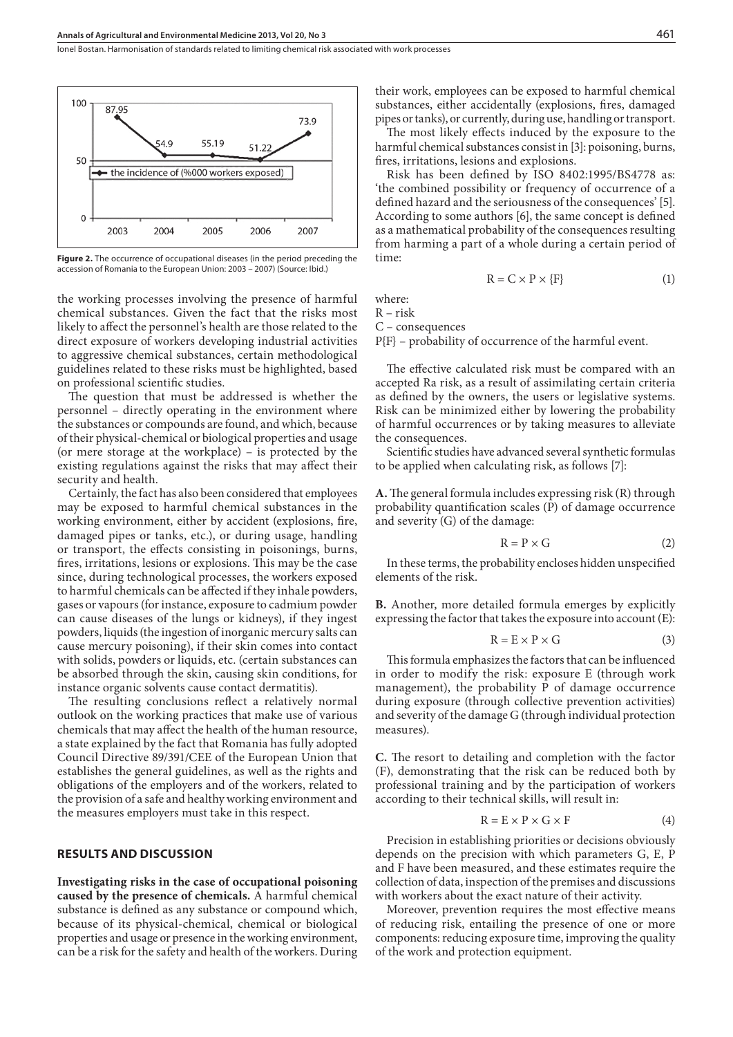Ionel Bostan . Harmonisation of standards related to limiting chemical risk associated with work processes



Figure 2. The occurrence of occupational diseases (in the period preceding the accession of Romania to the European Union: 2003 – 2007) (Source: Ibid.)

the working processes involving the presence of harmful chemical substances. Given the fact that the risks most likely to affect the personnel's health are those related to the direct exposure of workers developing industrial activities to aggressive chemical substances, certain methodological guidelines related to these risks must be highlighted, based on professional scientific studies.

The question that must be addressed is whether the personnel – directly operating in the environment where the substances or compounds are found, and which, because of their physical-chemical or biological properties and usage (or mere storage at the workplace) – is protected by the existing regulations against the risks that may affect their security and health.

Certainly, the fact has also been considered that employees may be exposed to harmful chemical substances in the working environment, either by accident (explosions, fire, damaged pipes or tanks, etc.), or during usage, handling or transport, the effects consisting in poisonings, burns, fires, irritations, lesions or explosions. This may be the case since, during technological processes, the workers exposed to harmful chemicals can be affected if they inhale powders, gases or vapours (for instance, exposure to cadmium powder can cause diseases of the lungs or kidneys), if they ingest powders, liquids (the ingestion of inorganic mercury salts can cause mercury poisoning), if their skin comes into contact with solids, powders or liquids, etc. (certain substances can be absorbed through the skin, causing skin conditions, for instance organic solvents cause contact dermatitis).

The resulting conclusions reflect a relatively normal outlook on the working practices that make use of various chemicals that may affect the health of the human resource, a state explained by the fact that Romania has fully adopted Council Directive 89/391/CEE of the European Union that establishes the general guidelines, as well as the rights and obligations of the employers and of the workers, related to the provision of a safe and healthy working environment and the measures employers must take in this respect.

#### **RESULTS AND DISCUSSION**

**Investigating risks in the case of occupational poisoning caused by the presence of chemicals.** A harmful chemical substance is defined as any substance or compound which, because of its physical-chemical, chemical or biological properties and usage or presence in the working environment, can be a risk for the safety and health of the workers. During

their work, employees can be exposed to harmful chemical substances, either accidentally (explosions, fires, damaged pipes or tanks), or currently, during use, handling or transport.

The most likely effects induced by the exposure to the harmful chemical substances consist in [3]: poisoning, burns, fires, irritations, lesions and explosions.

Risk has been defined by ISO 8402:1995/BS4778 as: 'the combined possibility or frequency of occurrence of a defined hazard and the seriousness of the consequences' [5]. According to some authors [6], the same concept is defined as a mathematical probability of the consequences resulting from harming a part of a whole during a certain period of time:

$$
R = C \times P \times \{F\} \tag{1}
$$

where:

R – risk

C – consequences

P{F} – probability of occurrence of the harmful event.

The effective calculated risk must be compared with an accepted Ra risk, as a result of assimilating certain criteria as defined by the owners, the users or legislative systems. Risk can be minimized either by lowering the probability of harmful occurrences or by taking measures to alleviate the consequences.

Scientific studies have advanced several synthetic formulas to be applied when calculating risk, as follows [7]:

**A.** The general formula includes expressing risk (R) through probability quantification scales (P) of damage occurrence and severity (G) of the damage:

$$
R = P \times G \tag{2}
$$

In these terms, the probability encloses hidden unspecified elements of the risk.

**B.** Another, more detailed formula emerges by explicitly expressing the factor that takes the exposure into account (E):

$$
R = E \times P \times G \tag{3}
$$

This formula emphasizes the factors that can be influenced in order to modify the risk: exposure E (through work management), the probability P of damage occurrence during exposure (through collective prevention activities) and severity of the damage G (through individual protection measures).

**C.** The resort to detailing and completion with the factor (F), demonstrating that the risk can be reduced both by professional training and by the participation of workers according to their technical skills, will result in:

$$
R = E \times P \times G \times F \tag{4}
$$

Precision in establishing priorities or decisions obviously depends on the precision with which parameters G, E, P and F have been measured, and these estimates require the collection of data, inspection of the premises and discussions with workers about the exact nature of their activity.

Moreover, prevention requires the most effective means of reducing risk, entailing the presence of one or more components: reducing exposure time, improving the quality of the work and protection equipment.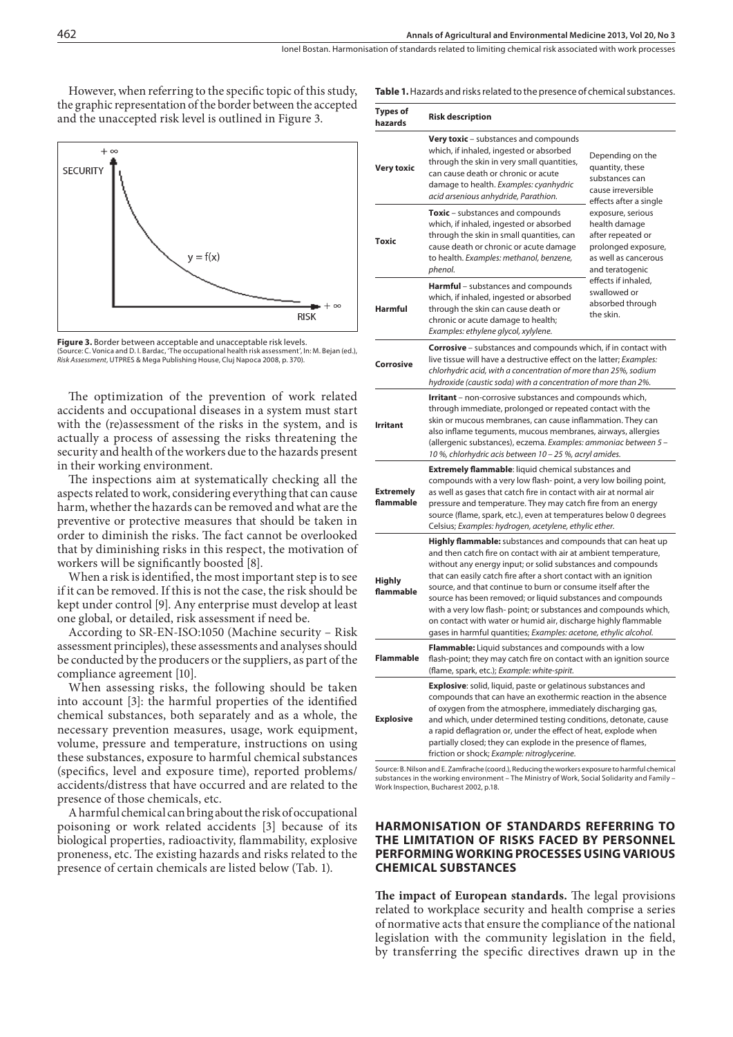However, when referring to the specific topic of this study, the graphic representation of the border between the accepted and the unaccepted risk level is outlined in Figure 3.





The optimization of the prevention of work related accidents and occupational diseases in a system must start with the (re)assessment of the risks in the system, and is actually a process of assessing the risks threatening the security and health of the workers due to the hazards present in their working environment.

The inspections aim at systematically checking all the aspects related to work, considering everything that can cause harm, whether the hazards can be removed and what are the preventive or protective measures that should be taken in order to diminish the risks. The fact cannot be overlooked that by diminishing risks in this respect, the motivation of workers will be significantly boosted [8].

When a risk is identified, the most important step is to see if it can be removed. If this is not the case, the risk should be kept under control [9]. Any enterprise must develop at least one global, or detailed, risk assessment if need be.

According to SR-EN-ISO:1050 (Machine security – Risk assessment principles), these assessments and analyses should be conducted by the producers or the suppliers, as part of the compliance agreement [10].

When assessing risks, the following should be taken into account [3]: the harmful properties of the identified chemical substances, both separately and as a whole, the necessary prevention measures, usage, work equipment, volume, pressure and temperature, instructions on using these substances, exposure to harmful chemical substances (specifics, level and exposure time), reported problems/ accidents/distress that have occurred and are related to the presence of those chemicals, etc.

A harmful chemical can bring about the risk of occupational poisoning or work related accidents [3] because of its biological properties, radioactivity, flammability, explosive proneness, etc. The existing hazards and risks related to the presence of certain chemicals are listed below (Tab. 1).

|  |  |  |  |  |  | <b>Table 1.</b> Hazards and risks related to the presence of chemical substances. |  |  |  |  |  |  |  |  |  |  |  |  |  |  |  |  |  |  |  |  |  |  |
|--|--|--|--|--|--|-----------------------------------------------------------------------------------|--|--|--|--|--|--|--|--|--|--|--|--|--|--|--|--|--|--|--|--|--|--|
|--|--|--|--|--|--|-----------------------------------------------------------------------------------|--|--|--|--|--|--|--|--|--|--|--|--|--|--|--|--|--|--|--|--|--|--|

| <b>Types of</b><br>hazards                                                                                                                                                                                                                                                                                                                                                                                                                                                                                                                                                                                                                 | <b>Risk description</b>                                                                                                                                                                                                                                                                                                                                                                                                                                   |                                                                                                                           |  |  |  |  |  |
|--------------------------------------------------------------------------------------------------------------------------------------------------------------------------------------------------------------------------------------------------------------------------------------------------------------------------------------------------------------------------------------------------------------------------------------------------------------------------------------------------------------------------------------------------------------------------------------------------------------------------------------------|-----------------------------------------------------------------------------------------------------------------------------------------------------------------------------------------------------------------------------------------------------------------------------------------------------------------------------------------------------------------------------------------------------------------------------------------------------------|---------------------------------------------------------------------------------------------------------------------------|--|--|--|--|--|
| <b>Very toxic</b>                                                                                                                                                                                                                                                                                                                                                                                                                                                                                                                                                                                                                          | Very toxic - substances and compounds<br>which, if inhaled, ingested or absorbed<br>through the skin in very small quantities,<br>can cause death or chronic or acute<br>damage to health. Examples: cyanhydric<br>acid arsenious anhydride, Parathion.                                                                                                                                                                                                   | Depending on the<br>quantity, these<br>substances can<br>cause irreversible<br>effects after a single                     |  |  |  |  |  |
| <b>Toxic</b>                                                                                                                                                                                                                                                                                                                                                                                                                                                                                                                                                                                                                               | <b>Toxic</b> – substances and compounds<br>which, if inhaled, ingested or absorbed<br>through the skin in small quantities, can<br>cause death or chronic or acute damage<br>to health. Examples: methanol, benzene,<br>phenol.                                                                                                                                                                                                                           | exposure, serious<br>health damage<br>after repeated or<br>prolonged exposure,<br>as well as cancerous<br>and teratogenic |  |  |  |  |  |
| <b>Harmful</b>                                                                                                                                                                                                                                                                                                                                                                                                                                                                                                                                                                                                                             | <b>Harmful</b> – substances and compounds<br>which, if inhaled, ingested or absorbed<br>through the skin can cause death or<br>chronic or acute damage to health;<br>Examples: ethylene glycol, xylylene.                                                                                                                                                                                                                                                 | effects if inhaled,<br>swallowed or<br>absorbed through<br>the skin.                                                      |  |  |  |  |  |
| Corrosive                                                                                                                                                                                                                                                                                                                                                                                                                                                                                                                                                                                                                                  | <b>Corrosive</b> – substances and compounds which, if in contact with<br>live tissue will have a destructive effect on the latter; Examples:<br>chlorhydric acid, with a concentration of more than 25%, sodium<br>hydroxide (caustic soda) with a concentration of more than 2%.                                                                                                                                                                         |                                                                                                                           |  |  |  |  |  |
| Irritant                                                                                                                                                                                                                                                                                                                                                                                                                                                                                                                                                                                                                                   | <b>Irritant</b> – non-corrosive substances and compounds which,<br>through immediate, prolonged or repeated contact with the<br>skin or mucous membranes, can cause inflammation. They can<br>also inflame tequments, mucous membranes, airways, allergies<br>(allergenic substances), eczema. Examples: ammoniac between 5 -<br>10 %, chlorhydric acis between 10 - 25 %, acryl amides.                                                                  |                                                                                                                           |  |  |  |  |  |
| <b>Extremely</b><br>flammable                                                                                                                                                                                                                                                                                                                                                                                                                                                                                                                                                                                                              | <b>Extremely flammable:</b> liquid chemical substances and<br>compounds with a very low flash-point, a very low boiling point,<br>as well as gases that catch fire in contact with air at normal air<br>pressure and temperature. They may catch fire from an energy<br>source (flame, spark, etc.), even at temperatures below 0 degrees<br>Celsius; Examples: hydrogen, acetylene, ethylic ether.                                                       |                                                                                                                           |  |  |  |  |  |
| Highly flammable: substances and compounds that can heat up<br>and then catch fire on contact with air at ambient temperature,<br>without any energy input; or solid substances and compounds<br>that can easily catch fire after a short contact with an ignition<br><b>Highly</b><br>source, and that continue to burn or consume itself after the<br>flammable<br>source has been removed; or liquid substances and compounds<br>with a very low flash- point; or substances and compounds which,<br>on contact with water or humid air, discharge highly flammable<br>gases in harmful quantities; Examples: acetone, ethylic alcohol. |                                                                                                                                                                                                                                                                                                                                                                                                                                                           |                                                                                                                           |  |  |  |  |  |
| <b>Flammable</b>                                                                                                                                                                                                                                                                                                                                                                                                                                                                                                                                                                                                                           | Flammable: Liquid substances and compounds with a low<br>flash-point; they may catch fire on contact with an ignition source<br>(flame, spark, etc.); Example: white-spirit.                                                                                                                                                                                                                                                                              |                                                                                                                           |  |  |  |  |  |
| <b>Explosive</b>                                                                                                                                                                                                                                                                                                                                                                                                                                                                                                                                                                                                                           | <b>Explosive:</b> solid, liquid, paste or gelatinous substances and<br>compounds that can have an exothermic reaction in the absence<br>of oxygen from the atmosphere, immediately discharging gas,<br>and which, under determined testing conditions, detonate, cause<br>a rapid deflagration or, under the effect of heat, explode when<br>partially closed; they can explode in the presence of flames,<br>friction or shock; Example: nitroglycerine. |                                                                                                                           |  |  |  |  |  |

Source: B. Nilson and E. Zamfirache (coord.), Reducing the workers exposure to harmful chemical substances in the working environment – The Ministry of Work, Social Solidarity and Family – Work Inspection, Bucharest 2002, p.18.

## **HARMONISATION OF STANDARDS REFERRING TO THE LIMITATION OF RISKS FACED BY PERSONNEL PERFORMING WORKING PROCESSES USING VARIOUS CHEMICAL SUBSTANCES**

**The impact of European standards.** The legal provisions related to workplace security and health comprise a series of normative acts that ensure the compliance of the national legislation with the community legislation in the field, by transferring the specific directives drawn up in the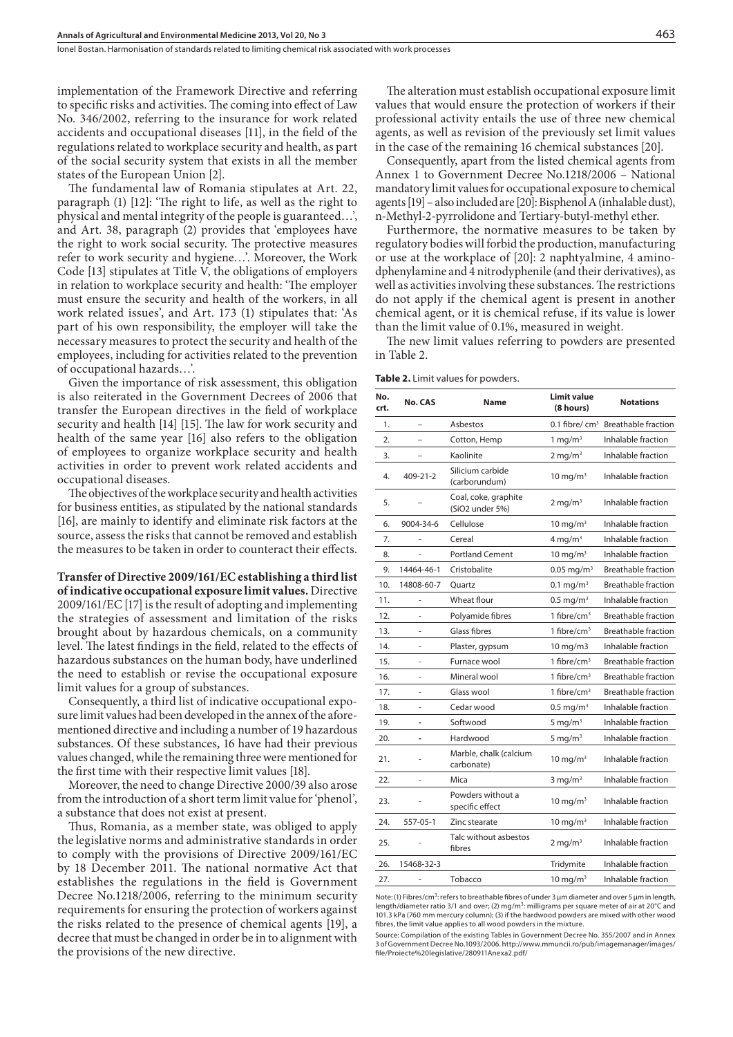Ionel Bostan . Harmonisation of standards related to limiting chemical risk associated with work processes

implementation of the Framework Directive and referring to specific risks and activities. The coming into effect of Law No. 346/2002, referring to the insurance for work related accidents and occupational diseases [11], in the field of the regulations related to workplace security and health, as part of the social security system that exists in all the member states of the European Union [2].

The fundamental law of Romania stipulates at Art. 22, paragraph (1) [12]: 'The right to life, as well as the right to physical and mental integrity of the people is guaranteed…', and Art. 38, paragraph (2) provides that 'employees have the right to work social security. The protective measures refer to work security and hygiene…'. Moreover, the Work Code [13] stipulates at Title V, the obligations of employers in relation to workplace security and health: 'The employer must ensure the security and health of the workers, in all work related issues', and Art. 173 (1) stipulates that: 'As part of his own responsibility, the employer will take the necessary measures to protect the security and health of the employees, including for activities related to the prevention of occupational hazards…'.

Given the importance of risk assessment, this obligation is also reiterated in the Government Decrees of 2006 that transfer the European directives in the field of workplace security and health [14] [15]. The law for work security and health of the same year [16] also refers to the obligation of employees to organize workplace security and health activities in order to prevent work related accidents and occupational diseases.

The objectives of the workplace security and health activities for business entities, as stipulated by the national standards [16], are mainly to identify and eliminate risk factors at the source, assess the risks that cannot be removed and establish the measures to be taken in order to counteract their effects.

**Transfer of Directive 2009/161/EC establishing a third list of indicative occupational exposure limit values.** Directive 2009/161/EC[17] is the result of adopting and implementing the strategies of assessment and limitation of the risks brought about by hazardous chemicals, on a community level. The latest findings in the field, related to the effects of hazardous substances on the human body, have underlined the need to establish or revise the occupational exposure limit values for a group of substances.

Consequently, a third list of indicative occupational exposure limit values had been developed in the annex of the aforementioned directive and including a number of 19 hazardous substances. Of these substances, 16 have had their previous values changed, while the remaining three were mentioned for the first time with their respective limit values [18].

Moreover, the need to change Directive 2000/39 also arose from the introduction of a short term limit value for 'phenol', a substance that does not exist at present.

Thus, Romania, as a member state, was obliged to apply the legislative norms and administrative standards in order to comply with the provisions of Directive 2009/161/EC by 18 December 2011. The national normative Act that establishes the regulations in the field is Government Decree No.1218/2006, referring to the minimum security requirements for ensuring the protection of workers against the risks related to the presence of chemical agents [19], a decree that must be changed in order be in to alignment with the provisions of the new directive.

The alteration must establish occupational exposure limit values that would ensure the protection of workers if their professional activity entails the use of three new chemical agents, as well as revision of the previously set limit values in the case of the remaining 16 chemical substances [20].

Consequently, apart from the listed chemical agents from Annex 1 to Government Decree No.1218/2006 – National mandatory limit values for occupational exposure to chemical agents [19] – also included are [20]: Bisphenol A (inhalable dust), n-Methyl-2-pyrrolidone and Tertiary-butyl-methyl ether.

Furthermore, the normative measures to be taken by regulatory bodies will forbid the production, manufacturing or use at the workplace of [20]: 2 naphtyalmine, 4 aminodphenylamine and 4 nitrodyphenile (and their derivatives), as well as activities involving these substances. The restrictions do not apply if the chemical agent is present in another chemical agent, or it is chemical refuse, if its value is lower than the limit value of 0.1%, measured in weight.

The new limit values referring to powders are presented in Table 2.

**Table 2.** Limit values for powders.

| No.<br>crt. | No. CAS       | <b>Name</b>                             | <b>Limit value</b><br>(8 hours) | <b>Notations</b>           |
|-------------|---------------|-----------------------------------------|---------------------------------|----------------------------|
| 1.          |               | Asbestos                                | 0.1 fibre/ $\rm cm^3$           | <b>Breathable fraction</b> |
| 2.          |               | Cotton, Hemp                            | $1$ mg/m <sup>3</sup>           | Inhalable fraction         |
| 3.          |               | Kaolinite                               | $2 \text{ mg/m}^3$              | Inhalable fraction         |
| 4.          | 409-21-2      | Silicium carbide<br>(carborundum)       | $10 \text{ mg/m}^3$             | Inhalable fraction         |
| 5.          |               | Coal, coke, graphite<br>(SiO2 under 5%) | $2 \,\mathrm{mg/m^3}$           | Inhalable fraction         |
| 6.          | 9004-34-6     | Cellulose                               | $10$ mg/m <sup>3</sup>          | Inhalable fraction         |
| 7.          |               | Cereal                                  | $4 \,\mathrm{mq/m^3}$           | Inhalable fraction         |
| 8.          |               | <b>Portland Cement</b>                  | $10 \text{ mg/m}^3$             | Inhalable fraction         |
| 9.          | 14464-46-1    | Cristobalite                            | $0.05$ mg/m <sup>3</sup>        | <b>Breathable fraction</b> |
| 10.         | 14808-60-7    | Ouartz                                  | $0.1 \text{ mg/m}^3$            | <b>Breathable fraction</b> |
| 11.         | ÷             | Wheat flour                             | $0.5$ mg/m <sup>3</sup>         | Inhalable fraction         |
| 12.         | ÷,            | Polyamide fibres                        | 1 fibre/cm <sup>3</sup>         | <b>Breathable fraction</b> |
| 13.         |               | Glass fibres                            | 1 fibre/cm <sup>3</sup>         | <b>Breathable fraction</b> |
| 14.         | ä,            | Plaster, gypsum                         | 10 mg/m3                        | Inhalable fraction         |
| 15.         | ÷,            | Furnace wool                            | 1 fibre/cm <sup>3</sup>         | <b>Breathable fraction</b> |
| 16.         | $\frac{1}{2}$ | Mineral wool                            | 1 fibre/cm <sup>3</sup>         | <b>Breathable fraction</b> |
| 17.         |               | Glass wool                              | 1 fibre/ $cm3$                  | <b>Breathable fraction</b> |
| 18.         | ÷,            | Cedar wood                              | $0.5 \,\mathrm{mg/m^3}$         | Inhalable fraction         |
| 19.         | -             | Softwood                                | 5 mg/m $3$                      | Inhalable fraction         |
| 20.         | ä,            | Hardwood                                | 5 mg/ $m3$                      | Inhalable fraction         |
| 21.         | ä,            | Marble, chalk (calcium<br>carbonate)    | 10 mg/m $3$                     | Inhalable fraction         |
| 22.         | ä,            | Mica                                    | $3$ mg/m <sup>3</sup>           | Inhalable fraction         |
| 23.         |               | Powders without a<br>specific effect    | $10 \text{ mg/m}^3$             | Inhalable fraction         |
| 24.         | 557-05-1      | Zinc stearate                           | $10 \text{ mg/m}^3$             | Inhalable fraction         |
| 25.         |               | Talc without asbestos<br>fibres         | $2 \,\mathrm{mg/m^3}$           | Inhalable fraction         |
| 26.         | 15468-32-3    |                                         | Tridymite                       | Inhalable fraction         |
| 27.         | ٠             | Tobacco                                 | $10 \text{ mg/m}^3$             | Inhalable fraction         |

Note: (1) Fibres/cm<sup>3</sup>: refers to breathable fibres of under 3 μm diameter and over 5 μm in length, length/diameter ratio 3/1 and over; (2) mg/m<sup>3</sup>: milligrams per square meter of air at 20°C and 101.3 kPa (760 mm mercury column); (3) if the hardwood powders are mixed with other wood fibres, the limit value applies to all wood powders in the mixture.

Source: Compilation of the existing Tables in Government Decree No. 355/2007 and in Annex 3 of Government Decree No.1093/2006. http://www.mmuncii.ro/pub/imagemanager/images/ file/Proiecte%20legislative/280911Anexa2.pdf/